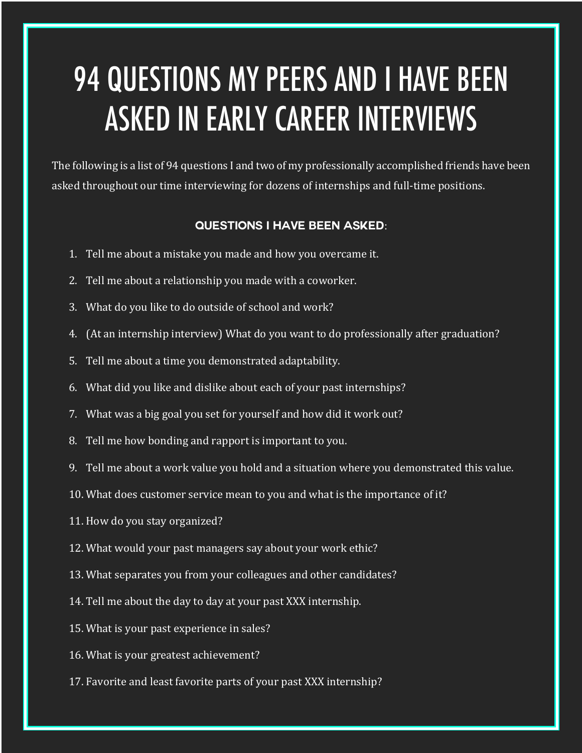## 94 QUESTIONS MY PEERS AND I HAVE BEEN ASKED IN EARLY CAREER INTERVIEWS

The following is a list of 94 questions I and two of my professionally accomplished friends have been asked throughout our time interviewing for dozens of internships and full-time positions.

## **Questions I have been asked**:

- 1. Tell me about a mistake you made and how you overcame it.
- 2. Tell me about a relationship you made with a coworker.
- 3. What do you like to do outside of school and work?
- 4. (At an internship interview) What do you want to do professionally after graduation?
- 5. Tell me about a time you demonstrated adaptability.
- 6. What did you like and dislike about each of your past internships?
- 7. What was a big goal you set for yourself and how did it work out?
- 8. Tell me how bonding and rapport is important to you.
- 9. Tell me about a work value you hold and a situation where you demonstrated this value.
- 10. What does customer service mean to you and what is the importance of it?
- 11. How do you stay organized?
- 12. What would your past managers say about your work ethic?
- 13. What separates you from your colleagues and other candidates?
- 14. Tell me about the day to day at your past XXX internship.
- 15. What is your past experience in sales?
- 16. What is your greatest achievement?
- 17. Favorite and least favorite parts of your past XXX internship?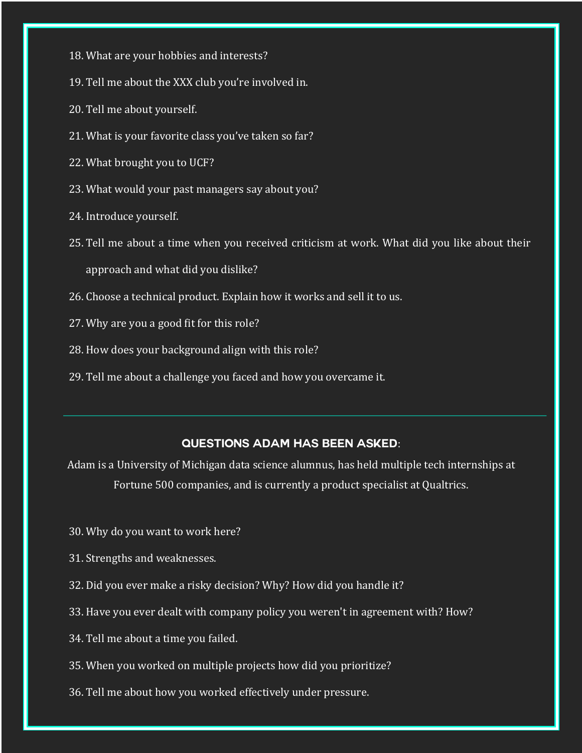- 18. What are your hobbies and interests?
- 19. Tell me about the XXX club you're involved in.
- 20. Tell me about yourself.
- 21. What is your favorite class you've taken so far?
- 22. What brought you to UCF?
- 23. What would your past managers say about you?
- 24. Introduce vourself.
- 25. Tell me about a time when you received criticism at work. What did you like about their

approach and what did you dislike?

- 26. Choose a technical product. Explain how it works and sell it to us.
- 27. Why are you a good fit for this role?
- 28. How does your background align with this role?
- 29. Tell me about a challenge you faced and how you overcame it.

## **Questions Adam has been asked**:

Adam is a University of Michigan data science alumnus, has held multiple tech internships at Fortune 500 companies, and is currently a product specialist at Qualtrics.

- 30. Why do you want to work here?
- 31. Strengths and weaknesses.
- 32. Did you ever make a risky decision? Why? How did you handle it?
- 33. Have you ever dealt with company policy you weren't in agreement with? How?
- 34. Tell me about a time you failed.
- 35. When you worked on multiple projects how did you prioritize?
- 36. Tell me about how you worked effectively under pressure.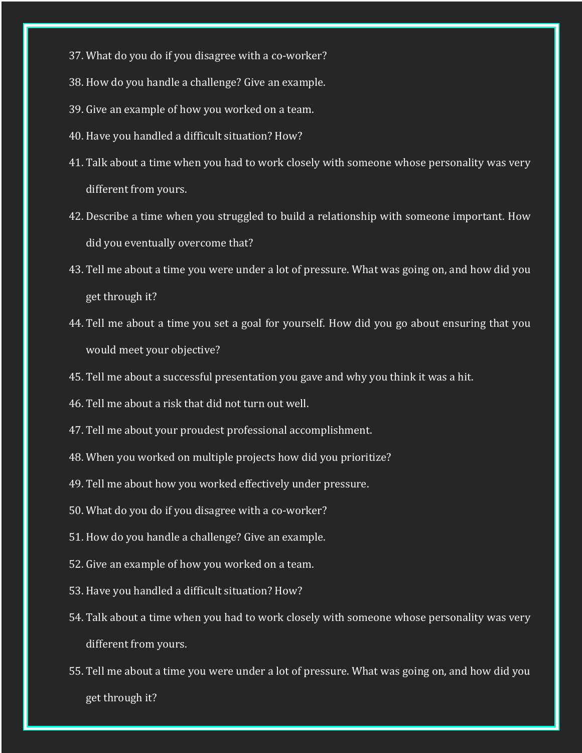- 37. What do you do if you disagree with a co-worker?
- 38. How do you handle a challenge? Give an example.
- 39. Give an example of how you worked on a team.
- 40. Have you handled a difficult situation? How?
- 41. Talk about a time when you had to work closely with someone whose personality was very different from yours.
- 42. Describe a time when you struggled to build a relationship with someone important. How did you eventually overcome that?
- 43. Tell me about a time you were under a lot of pressure. What was going on, and how did you get through it?
- 44. Tell me about a time you set a goal for yourself. How did you go about ensuring that you would meet your objective?
- 45. Tell me about a successful presentation you gave and why you think it was a hit.
- 46. Tell me about a risk that did not turn out well.
- 47. Tell me about your proudest professional accomplishment.
- 48. When you worked on multiple projects how did you prioritize?
- 49. Tell me about how you worked effectively under pressure.
- 50. What do you do if you disagree with a co-worker?
- 51. How do you handle a challenge? Give an example.
- 52. Give an example of how you worked on a team.
- 53. Have you handled a difficult situation? How?
- 54. Talk about a time when you had to work closely with someone whose personality was very different from yours.
- 55. Tell me about a time you were under a lot of pressure. What was going on, and how did you get through it?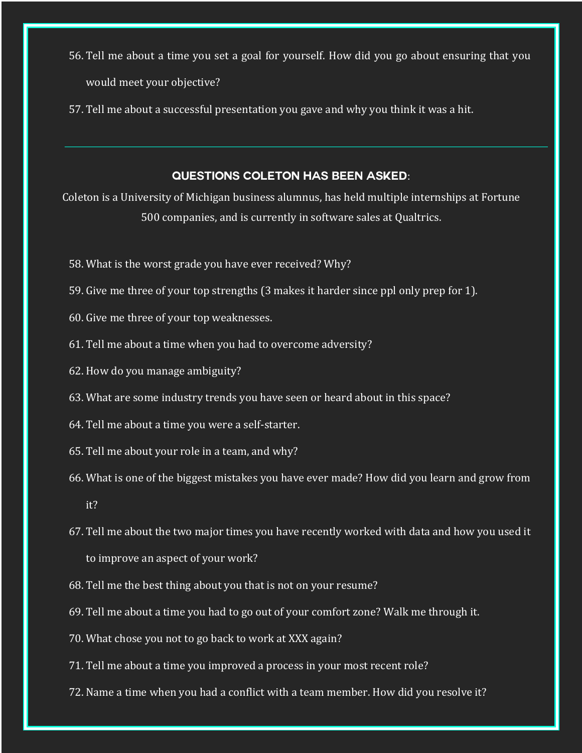- 56. Tell me about a time you set a goal for yourself. How did you go about ensuring that you would meet your objective?
- 57. Tell me about a successful presentation you gave and why you think it was a hit.

## **Questions Coleton has been asked**:

Coleton is a University of Michigan business alumnus, has held multiple internships at Fortune 500 companies, and is currently in software sales at Qualtrics.

- 58. What is the worst grade you have ever received? Why?
- 59. Give me three of your top strengths (3 makes it harder since ppl only prep for 1).
- 60. Give me three of your top weaknesses.
- 61. Tell me about a time when you had to overcome adversity?
- 62. How do you manage ambiguity?
- 63. What are some industry trends you have seen or heard about in this space?
- 64. Tell me about a time you were a self-starter.
- 65. Tell me about your role in a team, and why?
- 66. What is one of the biggest mistakes you have ever made? How did you learn and grow from it?
- 67. Tell me about the two major times you have recently worked with data and how you used it to improve an aspect of your work?
- 68. Tell me the best thing about you that is not on your resume?
- 69. Tell me about a time you had to go out of your comfort zone? Walk me through it.
- 70. What chose you not to go back to work at XXX again?
- 71. Tell me about a time you improved a process in your most recent role?
- 72. Name a time when you had a conflict with a team member. How did you resolve it?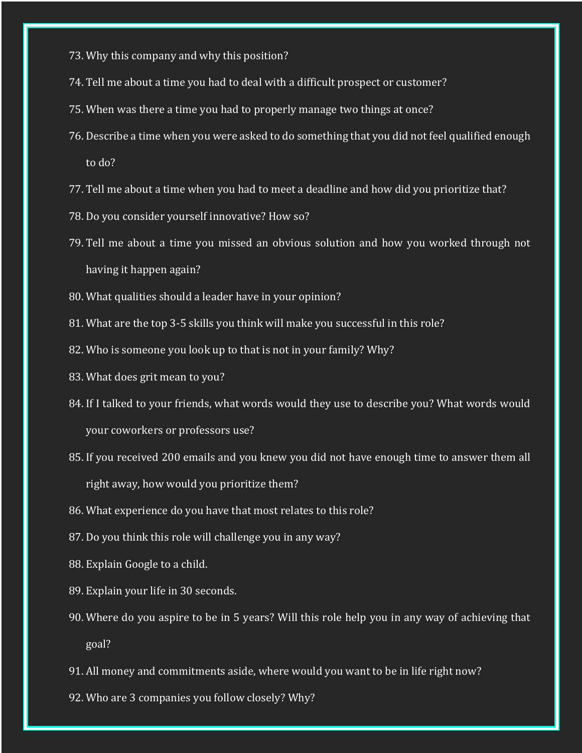- 73. Why this company and why this position?
- 74. Tell me about a time you had to deal with a difficult prospect or customer?
- 75. When was there a time you had to properly manage two things at once?
- 76. Describe a time when you were asked to do something that you did not feel qualified enough to do?
- 77. Tell me about a time when you had to meet a deadline and how did you prioritize that?
- 78. Do you consider yourself innovative? How so?
- 79. Tell me about a time you missed an obvious solution and how you worked through not having it happen again?
- 80. What qualities should a leader have in your opinion?
- 81. What are the top 3-5 skills you think will make you successful in this role?
- 82. Who is someone you look up to that is not in your family? Why?
- 83. What does grit mean to you?
- 84. If I talked to your friends, what words would they use to describe you? What words would your coworkers or professors use?
- 85. If you received 200 emails and you knew you did not have enough time to answer them all right away, how would you prioritize them?
- 86. What experience do you have that most relates to this role?
- 87. Do you think this role will challenge you in any way?
- 88. Explain Google to a child.
- 89. Explain your life in 30 seconds.
- 90. Where do you aspire to be in 5 years? Will this role help you in any way of achieving that goal?
- 91. All money and commitments aside, where would you want to be in life right now?
- 92. Who are 3 companies you follow closely? Why?